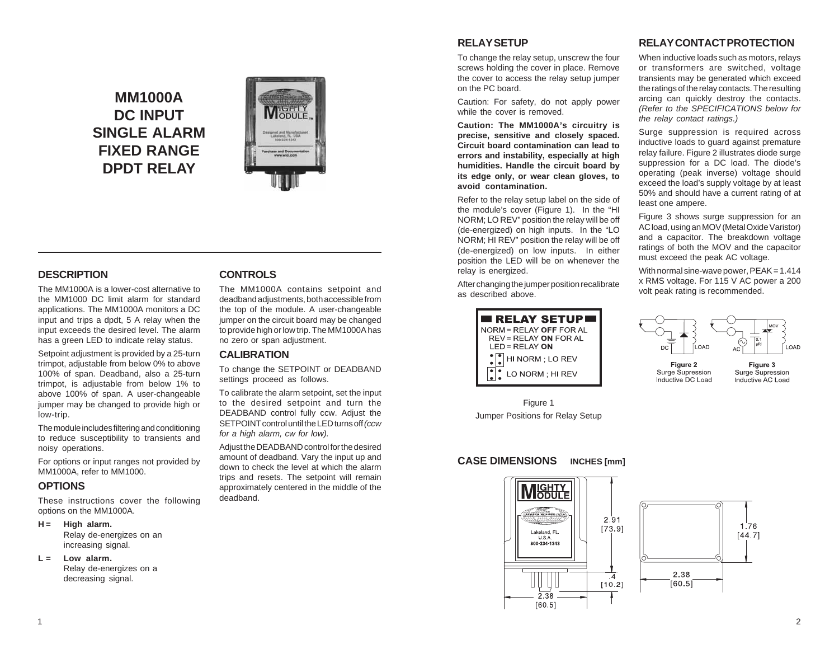# **MM1000A DC INPUT SINGLE ALARM FIXED RANGE DPDT RELAY**



### **DESCRIPTION**

The MM1000A is a lower-cost alternative to the MM1000 DC limit alarm for standard applications. The MM1000A monitors a DC input and trips a dpdt, 5 A relay when the input exceeds the desired level. The alarm has a green LED to indicate relay status.

Setpoint adjustment is provided by a 25-turn trimpot, adjustable from below 0% to above 100% of span. Deadband, also a 25-turn trimpot, is adjustable from below 1% to above 100% of span. A user-changeable jumper may be changed to provide high or low-trip.

The module includes filtering and conditioning to reduce susceptibility to transients and noisy operations.

For options or input ranges not provided by MM1000A, refer to MM1000.

# **OPTIONS**

These instructions cover the following options on the MM1000A.

#### **H = High alarm.**

Relay de-energizes on an increasing signal.

**L = Low alarm.**

Relay de-energizes on a decreasing signal.

# **CONTROLS**

The MM1000A contains setpoint and deadband adjustments, both accessible from the top of the module. A user-changeable jumper on the circuit board may be changed to provide high or low trip. The MM1000A has no zero or span adjustment.

### **CALIBRATION**

To change the SETPOINT or DEADBAND settings proceed as follows.

To calibrate the alarm setpoint, set the input to the desired setpoint and turn the DEADBAND control fully ccw. Adjust the SETPOINT control until the LED turns off *(ccw for a high alarm, cw for low).*

Adjust the DEADBAND control for the desired amount of deadband. Vary the input up and down to check the level at which the alarm trips and resets. The setpoint will remain approximately centered in the middle of the deadband.

# **RELAY SETUP**

To change the relay setup, unscrew the four screws holding the cover in place. Remove the cover to access the relay setup jumper on the PC board.

Caution: For safety, do not apply power while the cover is removed.

**Caution: The MM1000A's circuitry is precise, sensitive and closely spaced. Circuit board contamination can lead to errors and instability, especially at high humidities. Handle the circuit board by its edge only, or wear clean gloves, to avoid contamination.**

Refer to the relay setup label on the side of the module's cover (Figure 1). In the "HI NORM; LO REV" position the relay will be off (de-energized) on high inputs. In the "LO NORM; HI REV" position the relay will be off (de-energized) on low inputs. In either position the LED will be on whenever the relay is energized.

After changing the jumper position recalibrate as described above.



Figure 1 Jumper Positions for Relay Setup

# **CASE DIMENSIONS INCHES [mm]**



# **RELAY CONTACT PROTECTION**

When inductive loads such as motors, relays or transformers are switched, voltage transients may be generated which exceed the ratings of the relay contacts. The resulting arcing can quickly destroy the contacts. *(Refer to the SPECIFICATIONS below for the relay contact ratings.)*

Surge suppression is required across inductive loads to guard against premature relay failure. Figure 2 illustrates diode surge suppression for a DC load. The diode's operating (peak inverse) voltage should exceed the load's supply voltage by at least 50% and should have a current rating of at least one ampere.

Figure 3 shows surge suppression for an AC load, using an MOV (Metal Oxide Varistor) and a capacitor. The breakdown voltage ratings of both the MOV and the capacitor must exceed the peak AC voltage.

With normal sine-wave power, PEAK = 1.414 x RMS voltage. For 115 V AC power a 200 volt peak rating is recommended.



Figure 2 Surge Supression Inductive DC Load

Figure 3 Surge Supression Inductive AC Load